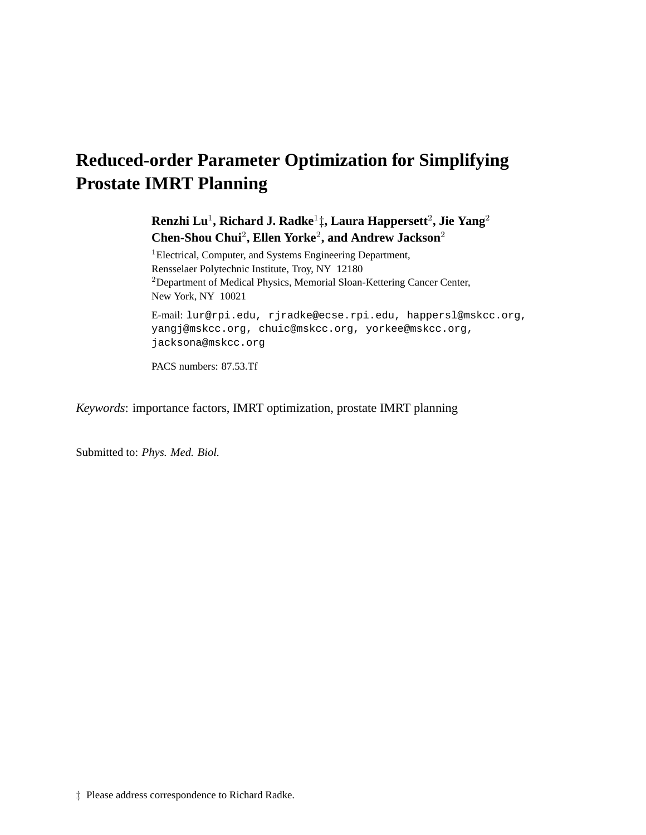# **Reduced-order Parameter Optimization for Simplifying Prostate IMRT Planning**

# **Renzhi Lu**<sup>1</sup> **, Richard J. Radke**<sup>1</sup> ‡**, Laura Happersett**<sup>2</sup> **, Jie Yang**<sup>2</sup> **Chen-Shou Chui**<sup>2</sup> **, Ellen Yorke**<sup>2</sup> **, and Andrew Jackson**<sup>2</sup>

<sup>1</sup>Electrical, Computer, and Systems Engineering Department, Rensselaer Polytechnic Institute, Troy, NY 12180 <sup>2</sup>Department of Medical Physics, Memorial Sloan-Kettering Cancer Center, New York, NY 10021

E-mail: lur@rpi.edu, rjradke@ecse.rpi.edu, happersl@mskcc.org, yangj@mskcc.org, chuic@mskcc.org, yorkee@mskcc.org, jacksona@mskcc.org

PACS numbers: 87.53.Tf

*Keywords*: importance factors, IMRT optimization, prostate IMRT planning

Submitted to: *Phys. Med. Biol.*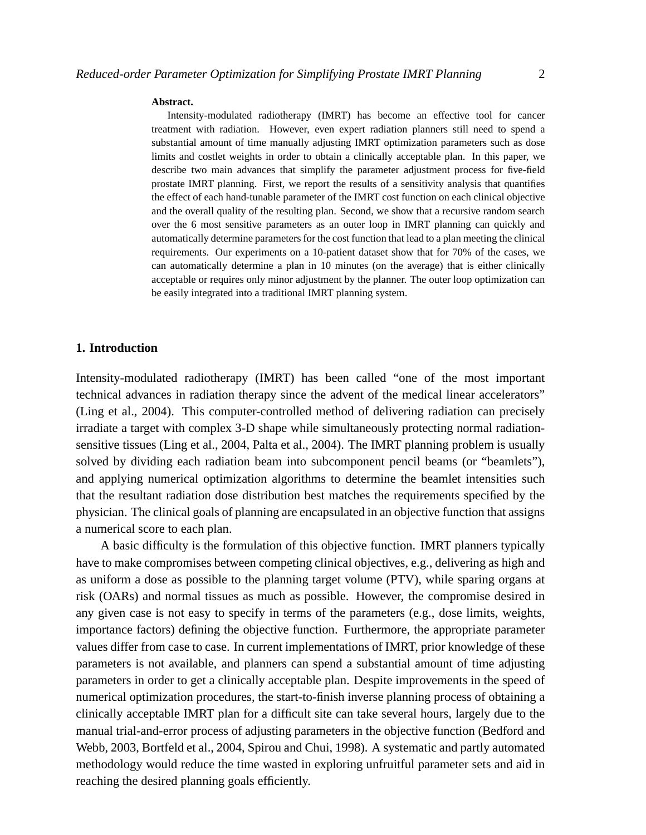#### **Abstract.**

Intensity-modulated radiotherapy (IMRT) has become an effective tool for cancer treatment with radiation. However, even expert radiation planners still need to spend a substantial amount of time manually adjusting IMRT optimization parameters such as dose limits and costlet weights in order to obtain a clinically acceptable plan. In this paper, we describe two main advances that simplify the parameter adjustment process for five-field prostate IMRT planning. First, we report the results of a sensitivity analysis that quantifies the effect of each hand-tunable parameter of the IMRT cost function on each clinical objective and the overall quality of the resulting plan. Second, we show that a recursive random search over the 6 most sensitive parameters as an outer loop in IMRT planning can quickly and automatically determine parameters for the cost function that lead to a plan meeting the clinical requirements. Our experiments on a 10-patient dataset show that for 70% of the cases, we can automatically determine a plan in 10 minutes (on the average) that is either clinically acceptable or requires only minor adjustment by the planner. The outer loop optimization can be easily integrated into a traditional IMRT planning system.

# **1. Introduction**

Intensity-modulated radiotherapy (IMRT) has been called "one of the most important technical advances in radiation therapy since the advent of the medical linear accelerators" (Ling et al., 2004). This computer-controlled method of delivering radiation can precisely irradiate a target with complex 3-D shape while simultaneously protecting normal radiationsensitive tissues (Ling et al., 2004, Palta et al., 2004). The IMRT planning problem is usually solved by dividing each radiation beam into subcomponent pencil beams (or "beamlets"), and applying numerical optimization algorithms to determine the beamlet intensities such that the resultant radiation dose distribution best matches the requirements specified by the physician. The clinical goals of planning are encapsulated in an objective function that assigns a numerical score to each plan.

A basic difficulty is the formulation of this objective function. IMRT planners typically have to make compromises between competing clinical objectives, e.g., delivering as high and as uniform a dose as possible to the planning target volume (PTV), while sparing organs at risk (OARs) and normal tissues as much as possible. However, the compromise desired in any given case is not easy to specify in terms of the parameters (e.g., dose limits, weights, importance factors) defining the objective function. Furthermore, the appropriate parameter values differ from case to case. In current implementations of IMRT, prior knowledge of these parameters is not available, and planners can spend a substantial amount of time adjusting parameters in order to get a clinically acceptable plan. Despite improvements in the speed of numerical optimization procedures, the start-to-finish inverse planning process of obtaining a clinically acceptable IMRT plan for a difficult site can take several hours, largely due to the manual trial-and-error process of adjusting parameters in the objective function (Bedford and Webb, 2003, Bortfeld et al., 2004, Spirou and Chui, 1998). A systematic and partly automated methodology would reduce the time wasted in exploring unfruitful parameter sets and aid in reaching the desired planning goals efficiently.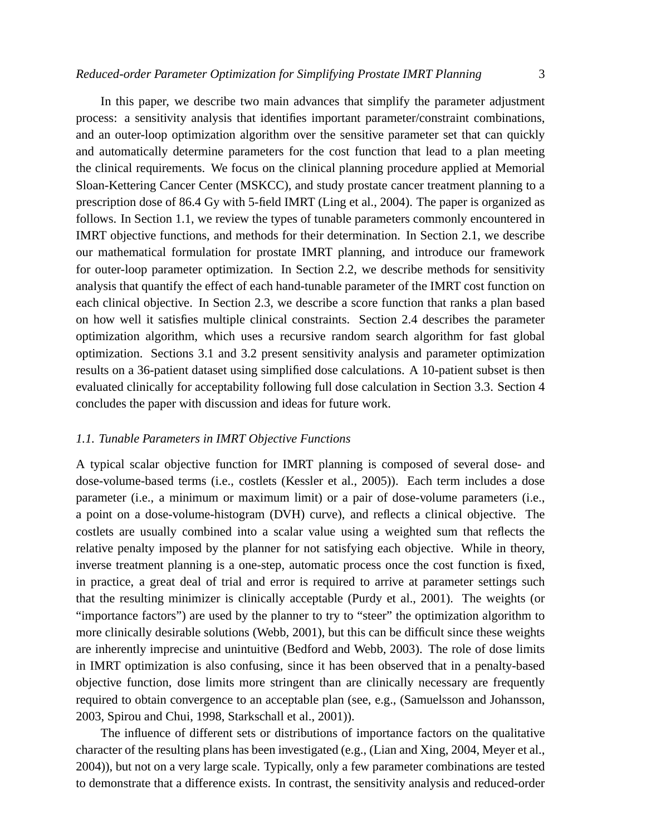In this paper, we describe two main advances that simplify the parameter adjustment process: a sensitivity analysis that identifies important parameter/constraint combinations, and an outer-loop optimization algorithm over the sensitive parameter set that can quickly and automatically determine parameters for the cost function that lead to a plan meeting the clinical requirements. We focus on the clinical planning procedure applied at Memorial Sloan-Kettering Cancer Center (MSKCC), and study prostate cancer treatment planning to a prescription dose of 86.4 Gy with 5-field IMRT (Ling et al., 2004). The paper is organized as follows. In Section 1.1, we review the types of tunable parameters commonly encountered in IMRT objective functions, and methods for their determination. In Section 2.1, we describe our mathematical formulation for prostate IMRT planning, and introduce our framework for outer-loop parameter optimization. In Section 2.2, we describe methods for sensitivity analysis that quantify the effect of each hand-tunable parameter of the IMRT cost function on each clinical objective. In Section 2.3, we describe a score function that ranks a plan based on how well it satisfies multiple clinical constraints. Section 2.4 describes the parameter optimization algorithm, which uses a recursive random search algorithm for fast global optimization. Sections 3.1 and 3.2 present sensitivity analysis and parameter optimization results on a 36-patient dataset using simplified dose calculations. A 10-patient subset is then evaluated clinically for acceptability following full dose calculation in Section 3.3. Section 4

#### *1.1. Tunable Parameters in IMRT Objective Functions*

concludes the paper with discussion and ideas for future work.

A typical scalar objective function for IMRT planning is composed of several dose- and dose-volume-based terms (i.e., costlets (Kessler et al., 2005)). Each term includes a dose parameter (i.e., a minimum or maximum limit) or a pair of dose-volume parameters (i.e., a point on a dose-volume-histogram (DVH) curve), and reflects a clinical objective. The costlets are usually combined into a scalar value using a weighted sum that reflects the relative penalty imposed by the planner for not satisfying each objective. While in theory, inverse treatment planning is a one-step, automatic process once the cost function is fixed, in practice, a great deal of trial and error is required to arrive at parameter settings such that the resulting minimizer is clinically acceptable (Purdy et al., 2001). The weights (or "importance factors") are used by the planner to try to "steer" the optimization algorithm to more clinically desirable solutions (Webb, 2001), but this can be difficult since these weights are inherently imprecise and unintuitive (Bedford and Webb, 2003). The role of dose limits in IMRT optimization is also confusing, since it has been observed that in a penalty-based objective function, dose limits more stringent than are clinically necessary are frequently required to obtain convergence to an acceptable plan (see, e.g., (Samuelsson and Johansson, 2003, Spirou and Chui, 1998, Starkschall et al., 2001)).

The influence of different sets or distributions of importance factors on the qualitative character of the resulting plans has been investigated (e.g., (Lian and Xing, 2004, Meyer et al., 2004)), but not on a very large scale. Typically, only a few parameter combinations are tested to demonstrate that a difference exists. In contrast, the sensitivity analysis and reduced-order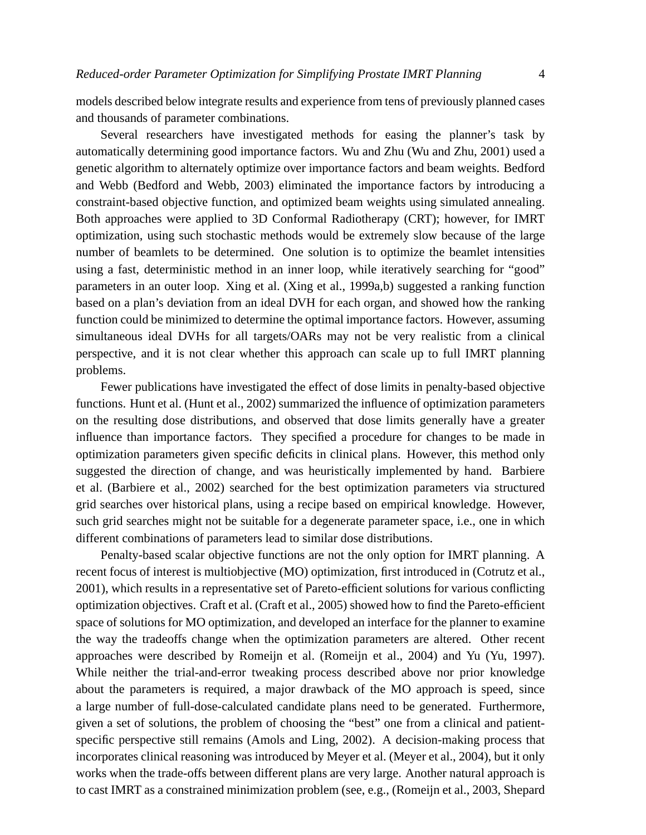models described below integrate results and experience from tens of previously planned cases and thousands of parameter combinations.

Several researchers have investigated methods for easing the planner's task by automatically determining good importance factors. Wu and Zhu (Wu and Zhu, 2001) used a genetic algorithm to alternately optimize over importance factors and beam weights. Bedford and Webb (Bedford and Webb, 2003) eliminated the importance factors by introducing a constraint-based objective function, and optimized beam weights using simulated annealing. Both approaches were applied to 3D Conformal Radiotherapy (CRT); however, for IMRT optimization, using such stochastic methods would be extremely slow because of the large number of beamlets to be determined. One solution is to optimize the beamlet intensities using a fast, deterministic method in an inner loop, while iteratively searching for "good" parameters in an outer loop. Xing et al. (Xing et al., 1999a,b) suggested a ranking function based on a plan's deviation from an ideal DVH for each organ, and showed how the ranking function could be minimized to determine the optimal importance factors. However, assuming simultaneous ideal DVHs for all targets/OARs may not be very realistic from a clinical perspective, and it is not clear whether this approach can scale up to full IMRT planning problems.

Fewer publications have investigated the effect of dose limits in penalty-based objective functions. Hunt et al. (Hunt et al., 2002) summarized the influence of optimization parameters on the resulting dose distributions, and observed that dose limits generally have a greater influence than importance factors. They specified a procedure for changes to be made in optimization parameters given specific deficits in clinical plans. However, this method only suggested the direction of change, and was heuristically implemented by hand. Barbiere et al. (Barbiere et al., 2002) searched for the best optimization parameters via structured grid searches over historical plans, using a recipe based on empirical knowledge. However, such grid searches might not be suitable for a degenerate parameter space, i.e., one in which different combinations of parameters lead to similar dose distributions.

Penalty-based scalar objective functions are not the only option for IMRT planning. A recent focus of interest is multiobjective (MO) optimization, first introduced in (Cotrutz et al., 2001), which results in a representative set of Pareto-efficient solutions for various conflicting optimization objectives. Craft et al. (Craft et al., 2005) showed how to find the Pareto-efficient space of solutions for MO optimization, and developed an interface for the planner to examine the way the tradeoffs change when the optimization parameters are altered. Other recent approaches were described by Romeijn et al. (Romeijn et al., 2004) and Yu (Yu, 1997). While neither the trial-and-error tweaking process described above nor prior knowledge about the parameters is required, a major drawback of the MO approach is speed, since a large number of full-dose-calculated candidate plans need to be generated. Furthermore, given a set of solutions, the problem of choosing the "best" one from a clinical and patientspecific perspective still remains (Amols and Ling, 2002). A decision-making process that incorporates clinical reasoning was introduced by Meyer et al. (Meyer et al., 2004), but it only works when the trade-offs between different plans are very large. Another natural approach is to cast IMRT as a constrained minimization problem (see, e.g., (Romeijn et al., 2003, Shepard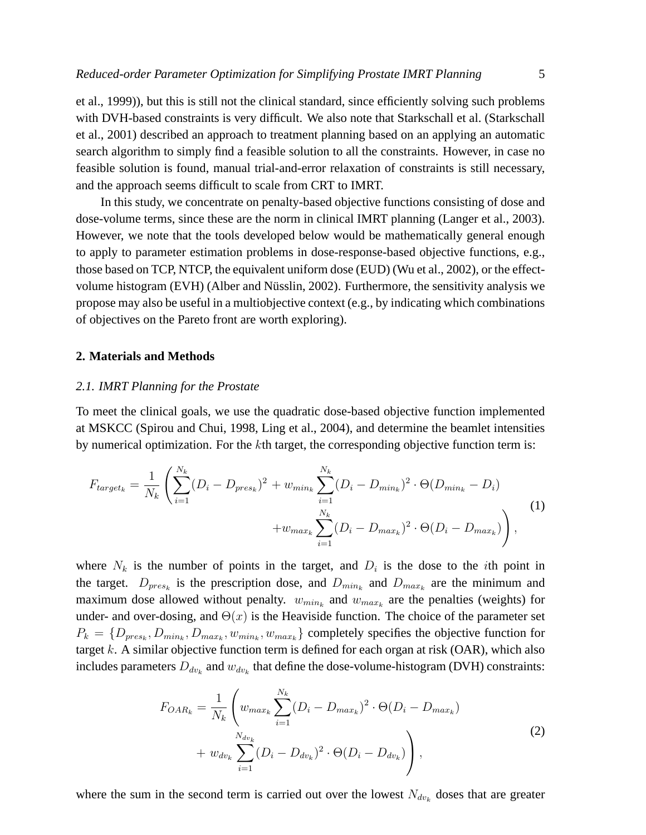et al., 1999)), but this is still not the clinical standard, since efficiently solving such problems with DVH-based constraints is very difficult. We also note that Starkschall et al. (Starkschall et al., 2001) described an approach to treatment planning based on an applying an automatic search algorithm to simply find a feasible solution to all the constraints. However, in case no feasible solution is found, manual trial-and-error relaxation of constraints is still necessary, and the approach seems difficult to scale from CRT to IMRT.

In this study, we concentrate on penalty-based objective functions consisting of dose and dose-volume terms, since these are the norm in clinical IMRT planning (Langer et al., 2003). However, we note that the tools developed below would be mathematically general enough to apply to parameter estimation problems in dose-response-based objective functions, e.g., those based on TCP, NTCP, the equivalent uniform dose (EUD) (Wu et al., 2002), or the effectvolume histogram (EVH) (Alber and Nüsslin, 2002). Furthermore, the sensitivity analysis we propose may also be useful in a multiobjective context (e.g., by indicating which combinations of objectives on the Pareto front are worth exploring).

# **2. Materials and Methods**

#### *2.1. IMRT Planning for the Prostate*

To meet the clinical goals, we use the quadratic dose-based objective function implemented at MSKCC (Spirou and Chui, 1998, Ling et al., 2004), and determine the beamlet intensities by numerical optimization. For the kth target, the corresponding objective function term is:

$$
F_{target_k} = \frac{1}{N_k} \left( \sum_{i=1}^{N_k} (D_i - D_{pres_k})^2 + w_{min_k} \sum_{i=1}^{N_k} (D_i - D_{min_k})^2 \cdot \Theta(D_{min_k} - D_i) + w_{max_k} \sum_{i=1}^{N_k} (D_i - D_{max_k})^2 \cdot \Theta(D_i - D_{max_k}) \right),
$$
\n(1)

where  $N_k$  is the number of points in the target, and  $D_i$  is the dose to the *i*th point in the target.  $D_{pres_k}$  is the prescription dose, and  $D_{min_k}$  and  $D_{max_k}$  are the minimum and maximum dose allowed without penalty.  $w_{min_k}$  and  $w_{max_k}$  are the penalties (weights) for under- and over-dosing, and  $\Theta(x)$  is the Heaviside function. The choice of the parameter set  $P_k = \{D_{pres_k}, D_{min_k}, D_{max_k}, w_{min_k}, w_{max_k}\}\$  completely specifies the objective function for target  $k$ . A similar objective function term is defined for each organ at risk (OAR), which also includes parameters  $D_{dv_k}$  and  $w_{dv_k}$  that define the dose-volume-histogram (DVH) constraints:

$$
F_{OAR_k} = \frac{1}{N_k} \left( w_{max_k} \sum_{i=1}^{N_k} (D_i - D_{max_k})^2 \cdot \Theta(D_i - D_{max_k}) + w_{dv_k} \sum_{i=1}^{N_{dv_k}} (D_i - D_{dv_k})^2 \cdot \Theta(D_i - D_{dv_k}) \right),
$$
\n(2)

where the sum in the second term is carried out over the lowest  $N_{dv_k}$  doses that are greater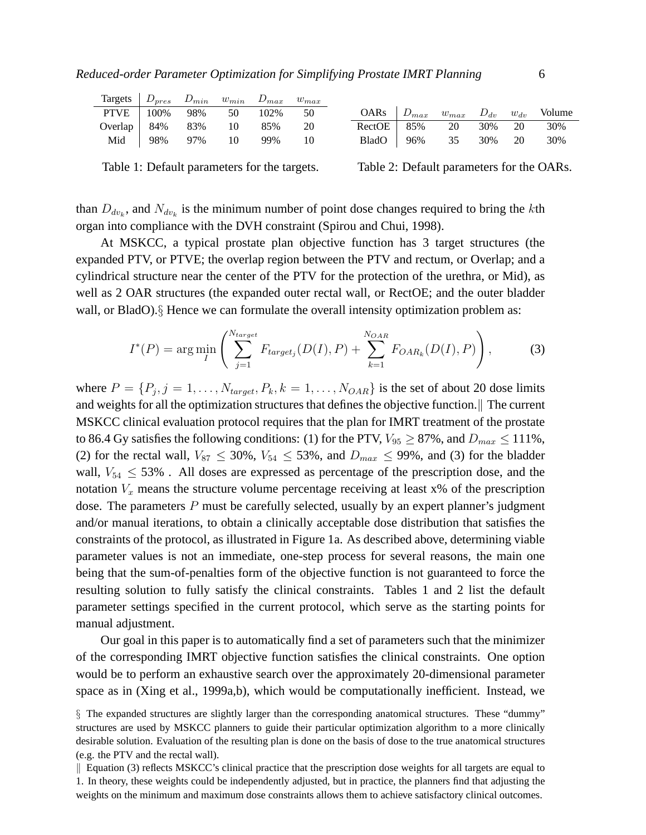| Targets $D_{pres}$ $D_{min}$ $w_{min}$ $D_{max}$ $w_{max}$ |  |                       |  |                      |  |  |                                                   |
|------------------------------------------------------------|--|-----------------------|--|----------------------|--|--|---------------------------------------------------|
| PTVE   100% 98% 50 102% 50                                 |  |                       |  |                      |  |  | OARs $D_{max}$ $w_{max}$ $D_{dv}$ $w_{dv}$ Volume |
| Overlap 84% 83% 10 85% 20                                  |  |                       |  | RectOE 85% 20 30% 20 |  |  | 30%                                               |
|                                                            |  | Mid 98% 97% 10 99% 10 |  | BladO 96% 35 30% 20  |  |  | 30%                                               |

Table 1: Default parameters for the targets.

Table 2: Default parameters for the OARs.

than  $D_{dv_k}$ , and  $N_{dv_k}$  is the minimum number of point dose changes required to bring the kth organ into compliance with the DVH constraint (Spirou and Chui, 1998).

At MSKCC, a typical prostate plan objective function has 3 target structures (the expanded PTV, or PTVE; the overlap region between the PTV and rectum, or Overlap; and a cylindrical structure near the center of the PTV for the protection of the urethra, or Mid), as well as 2 OAR structures (the expanded outer rectal wall, or RectOE; and the outer bladder wall, or BladO). § Hence we can formulate the overall intensity optimization problem as:

$$
I^*(P) = \arg\min_{I} \left( \sum_{j=1}^{N_{target}} F_{target_j}(D(I), P) + \sum_{k=1}^{N_{OAR}} F_{OAR_k}(D(I), P) \right),
$$
 (3)

where  $P = \{P_j, j = 1, \ldots, N_{target}, P_k, k = 1, \ldots, N_{OAR}\}\$ is the set of about 20 dose limits and weights for all the optimization structures that defines the objective function. The current MSKCC clinical evaluation protocol requires that the plan for IMRT treatment of the prostate to 86.4 Gy satisfies the following conditions: (1) for the PTV,  $V_{95} \ge 87\%$ , and  $D_{max} \le 111\%$ , (2) for the rectal wall,  $V_{87} \le 30\%$ ,  $V_{54} \le 53\%$ , and  $D_{max} \le 99\%$ , and (3) for the bladder wall,  $V_{54} \leq 53\%$ . All doses are expressed as percentage of the prescription dose, and the notation  $V_x$  means the structure volume percentage receiving at least  $x\%$  of the prescription dose. The parameters P must be carefully selected, usually by an expert planner's judgment and/or manual iterations, to obtain a clinically acceptable dose distribution that satisfies the constraints of the protocol, as illustrated in Figure 1a. As described above, determining viable parameter values is not an immediate, one-step process for several reasons, the main one being that the sum-of-penalties form of the objective function is not guaranteed to force the resulting solution to fully satisfy the clinical constraints. Tables 1 and 2 list the default parameter settings specified in the current protocol, which serve as the starting points for manual adjustment.

Our goal in this paper is to automatically find a set of parameters such that the minimizer of the corresponding IMRT objective function satisfies the clinical constraints. One option would be to perform an exhaustive search over the approximately 20-dimensional parameter space as in (Xing et al., 1999a,b), which would be computationally inefficient. Instead, we

<sup>§</sup> The expanded structures are slightly larger than the corresponding anatomical structures. These "dummy" structures are used by MSKCC planners to guide their particular optimization algorithm to a more clinically desirable solution. Evaluation of the resulting plan is done on the basis of dose to the true anatomical structures (e.g. the PTV and the rectal wall).

 $\parallel$  Equation (3) reflects MSKCC's clinical practice that the prescription dose weights for all targets are equal to 1. In theory, these weights could be independently adjusted, but in practice, the planners find that adjusting the weights on the minimum and maximum dose constraints allows them to achieve satisfactory clinical outcomes.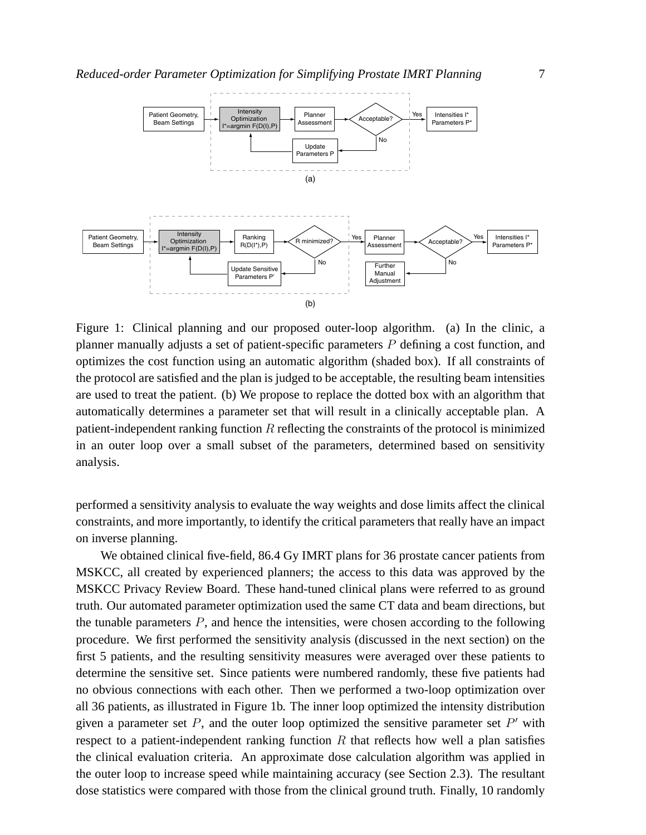

Figure 1: Clinical planning and our proposed outer-loop algorithm. (a) In the clinic, a planner manually adjusts a set of patient-specific parameters P defining a cost function, and optimizes the cost function using an automatic algorithm (shaded box). If all constraints of the protocol are satisfied and the plan is judged to be acceptable, the resulting beam intensities are used to treat the patient. (b) We propose to replace the dotted box with an algorithm that automatically determines a parameter set that will result in a clinically acceptable plan. A patient-independent ranking function  $R$  reflecting the constraints of the protocol is minimized in an outer loop over a small subset of the parameters, determined based on sensitivity analysis.

performed a sensitivity analysis to evaluate the way weights and dose limits affect the clinical constraints, and more importantly, to identify the critical parameters that really have an impact on inverse planning.

We obtained clinical five-field, 86.4 Gy IMRT plans for 36 prostate cancer patients from MSKCC, all created by experienced planners; the access to this data was approved by the MSKCC Privacy Review Board. These hand-tuned clinical plans were referred to as ground truth. Our automated parameter optimization used the same CT data and beam directions, but the tunable parameters  $P$ , and hence the intensities, were chosen according to the following procedure. We first performed the sensitivity analysis (discussed in the next section) on the first 5 patients, and the resulting sensitivity measures were averaged over these patients to determine the sensitive set. Since patients were numbered randomly, these five patients had no obvious connections with each other. Then we performed a two-loop optimization over all 36 patients, as illustrated in Figure 1b. The inner loop optimized the intensity distribution given a parameter set  $P$ , and the outer loop optimized the sensitive parameter set  $P'$  with respect to a patient-independent ranking function  $R$  that reflects how well a plan satisfies the clinical evaluation criteria. An approximate dose calculation algorithm was applied in the outer loop to increase speed while maintaining accuracy (see Section 2.3). The resultant dose statistics were compared with those from the clinical ground truth. Finally, 10 randomly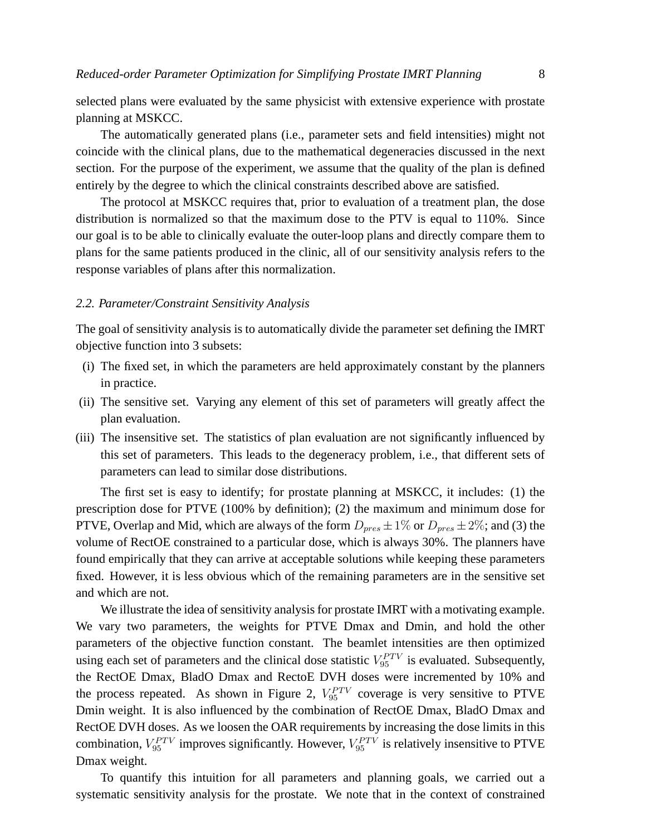selected plans were evaluated by the same physicist with extensive experience with prostate planning at MSKCC.

The automatically generated plans (i.e., parameter sets and field intensities) might not coincide with the clinical plans, due to the mathematical degeneracies discussed in the next section. For the purpose of the experiment, we assume that the quality of the plan is defined entirely by the degree to which the clinical constraints described above are satisfied.

The protocol at MSKCC requires that, prior to evaluation of a treatment plan, the dose distribution is normalized so that the maximum dose to the PTV is equal to 110%. Since our goal is to be able to clinically evaluate the outer-loop plans and directly compare them to plans for the same patients produced in the clinic, all of our sensitivity analysis refers to the response variables of plans after this normalization.

#### *2.2. Parameter/Constraint Sensitivity Analysis*

The goal of sensitivity analysis is to automatically divide the parameter set defining the IMRT objective function into 3 subsets:

- (i) The fixed set, in which the parameters are held approximately constant by the planners in practice.
- (ii) The sensitive set. Varying any element of this set of parameters will greatly affect the plan evaluation.
- (iii) The insensitive set. The statistics of plan evaluation are not significantly influenced by this set of parameters. This leads to the degeneracy problem, i.e., that different sets of parameters can lead to similar dose distributions.

The first set is easy to identify; for prostate planning at MSKCC, it includes: (1) the prescription dose for PTVE (100% by definition); (2) the maximum and minimum dose for PTVE, Overlap and Mid, which are always of the form  $D_{pres} \pm 1\%$  or  $D_{pres} \pm 2\%$ ; and (3) the volume of RectOE constrained to a particular dose, which is always 30%. The planners have found empirically that they can arrive at acceptable solutions while keeping these parameters fixed. However, it is less obvious which of the remaining parameters are in the sensitive set and which are not.

We illustrate the idea of sensitivity analysis for prostate IMRT with a motivating example. We vary two parameters, the weights for PTVE Dmax and Dmin, and hold the other parameters of the objective function constant. The beamlet intensities are then optimized using each set of parameters and the clinical dose statistic  $V_{95}^{PTV}$  is evaluated. Subsequently, the RectOE Dmax, BladO Dmax and RectoE DVH doses were incremented by 10% and the process repeated. As shown in Figure 2,  $V_{95}^{PTV}$  coverage is very sensitive to PTVE Dmin weight. It is also influenced by the combination of RectOE Dmax, BladO Dmax and RectOE DVH doses. As we loosen the OAR requirements by increasing the dose limits in this combination,  $V_{95}^{PTV}$  improves significantly. However,  $V_{95}^{PTV}$  is relatively insensitive to PTVE Dmax weight.

To quantify this intuition for all parameters and planning goals, we carried out a systematic sensitivity analysis for the prostate. We note that in the context of constrained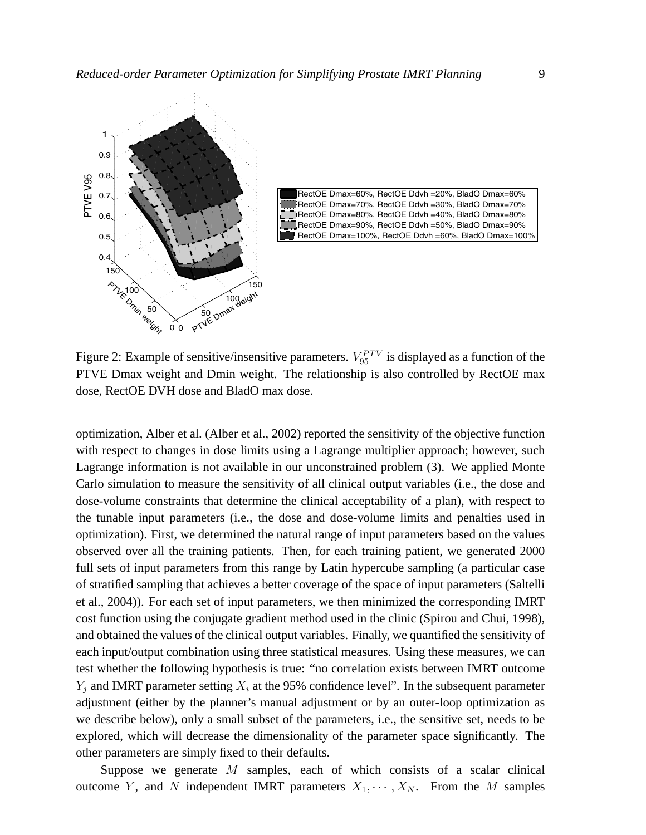



Figure 2: Example of sensitive/insensitive parameters.  $V_{95}^{PTV}$  is displayed as a function of the PTVE Dmax weight and Dmin weight. The relationship is also controlled by RectOE max dose, RectOE DVH dose and BladO max dose.

optimization, Alber et al. (Alber et al., 2002) reported the sensitivity of the objective function with respect to changes in dose limits using a Lagrange multiplier approach; however, such Lagrange information is not available in our unconstrained problem (3). We applied Monte Carlo simulation to measure the sensitivity of all clinical output variables (i.e., the dose and dose-volume constraints that determine the clinical acceptability of a plan), with respect to the tunable input parameters (i.e., the dose and dose-volume limits and penalties used in optimization). First, we determined the natural range of input parameters based on the values observed over all the training patients. Then, for each training patient, we generated 2000 full sets of input parameters from this range by Latin hypercube sampling (a particular case of stratified sampling that achieves a better coverage of the space of input parameters (Saltelli et al., 2004)). For each set of input parameters, we then minimized the corresponding IMRT cost function using the conjugate gradient method used in the clinic (Spirou and Chui, 1998), and obtained the values of the clinical output variables. Finally, we quantified the sensitivity of each input/output combination using three statistical measures. Using these measures, we can test whether the following hypothesis is true: "no correlation exists between IMRT outcome  $Y_i$  and IMRT parameter setting  $X_i$  at the 95% confidence level". In the subsequent parameter adjustment (either by the planner's manual adjustment or by an outer-loop optimization as we describe below), only a small subset of the parameters, i.e., the sensitive set, needs to be explored, which will decrease the dimensionality of the parameter space significantly. The other parameters are simply fixed to their defaults.

Suppose we generate M samples, each of which consists of a scalar clinical outcome Y, and N independent IMRT parameters  $X_1, \dots, X_N$ . From the M samples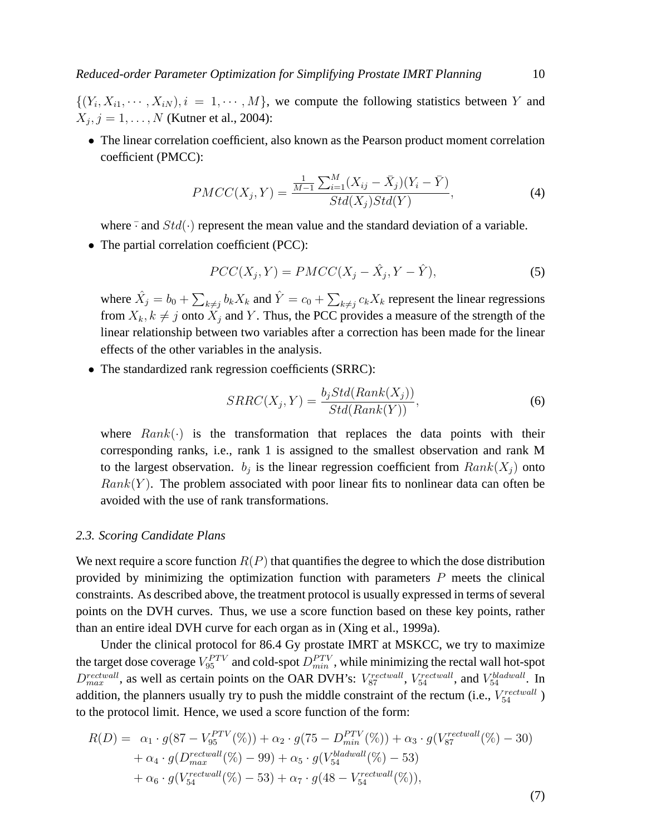$\{(Y_i, X_{i1}, \dots, X_{iN}), i = 1, \dots, M\}$ , we compute the following statistics between Y and  $X_j, j = 1, ..., N$  (Kutner et al., 2004):

• The linear correlation coefficient, also known as the Pearson product moment correlation coefficient (PMCC):

$$
PMCC(X_j, Y) = \frac{\frac{1}{M-1} \sum_{i=1}^{M} (X_{ij} - \bar{X}_j)(Y_i - \bar{Y})}{Std(X_j)Std(Y)},
$$
\n(4)

where  $\overline{\cdot}$  and  $Std(\cdot)$  represent the mean value and the standard deviation of a variable.

• The partial correlation coefficient (PCC):

$$
PCC(X_j, Y) = PMCC(X_j - \hat{X}_j, Y - \hat{Y}),
$$
\n(5)

where  $\hat{X}_j = b_0 +$  $\overline{ }$  $\sum_{k\neq j} b_k X_k$  and  $\hat{Y}=c_0+\sum$  $k \neq j$   $c_k X_k$  represent the linear regressions from  $X_k, k \neq j$  onto  $X_j$  and Y. Thus, the PCC provides a measure of the strength of the linear relationship between two variables after a correction has been made for the linear effects of the other variables in the analysis.

• The standardized rank regression coefficients (SRRC):

$$
SRRC(X_j, Y) = \frac{b_j Std(Rank(X_j))}{Std(Rank(Y))},\tag{6}
$$

where  $Rank(\cdot)$  is the transformation that replaces the data points with their corresponding ranks, i.e., rank 1 is assigned to the smallest observation and rank M to the largest observation.  $b_j$  is the linear regression coefficient from  $Rank(X_j)$  onto  $Rank(Y)$ . The problem associated with poor linear fits to nonlinear data can often be avoided with the use of rank transformations.

#### *2.3. Scoring Candidate Plans*

We next require a score function  $R(P)$  that quantifies the degree to which the dose distribution provided by minimizing the optimization function with parameters  $P$  meets the clinical constraints. As described above, the treatment protocol is usually expressed in terms of several points on the DVH curves. Thus, we use a score function based on these key points, rather than an entire ideal DVH curve for each organ as in (Xing et al., 1999a).

Under the clinical protocol for 86.4 Gy prostate IMRT at MSKCC, we try to maximize the target dose coverage  $V_{95}^{PTV}$  and cold-spot  $D_{min}^{PTV}$ , while minimizing the rectal wall hot-spot  $D_{max}^{rectwall}$ , as well as certain points on the OAR DVH's:  $V_{87}^{rectwall}$ ,  $V_{54}^{rectwall}$ , and  $V_{54}^{bladwall}$ . In addition, the planners usually try to push the middle constraint of the rectum (i.e.,  $V_{54}^{rectwall}$  ) to the protocol limit. Hence, we used a score function of the form:

$$
R(D) = \alpha_1 \cdot g(87 - V_{95}^{PTV}(\%)) + \alpha_2 \cdot g(75 - D_{min}^{PTV}(\%)) + \alpha_3 \cdot g(V_{87}^{rectwall}(\%) - 30) + \alpha_4 \cdot g(D_{max}^{rectwall}(\%) - 99) + \alpha_5 \cdot g(V_{54}^{bladwall}(\%) - 53) + \alpha_6 \cdot g(V_{54}^{rectwall}(\%) - 53) + \alpha_7 \cdot g(48 - V_{54}^{rectwall}(\%)),
$$

(7)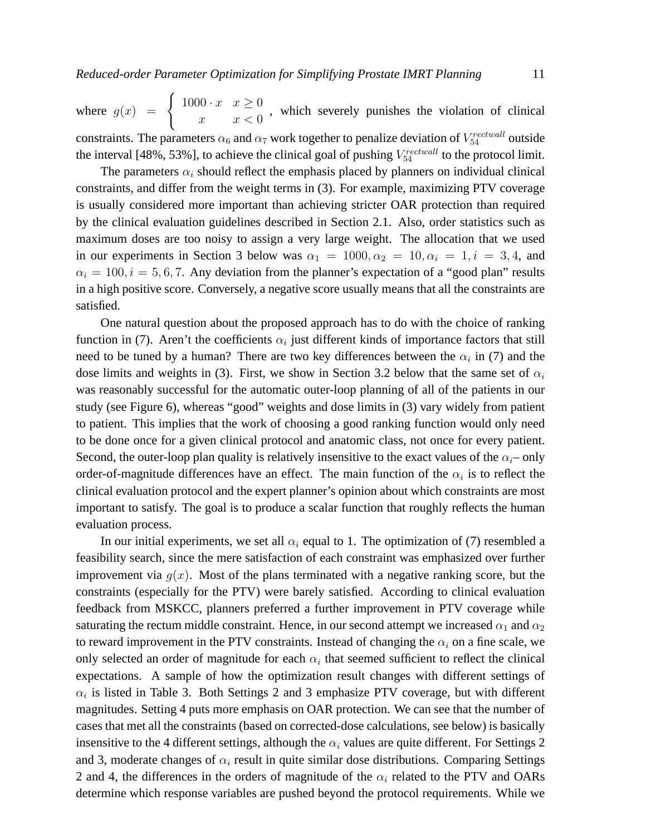where  $g(x) = \begin{cases}$  $1000 \cdot x \quad x \geq 0$  $x^{\infty}$   $x \leq 0$ , which severely punishes the violation of clinical constraints. The parameters  $\alpha_6$  and  $\alpha_7$  work together to penalize deviation of  $V_{54}^{rectwall}$  outside the interval [48%, 53%], to achieve the clinical goal of pushing  $V_{54}^{rectwall}$  to the protocol limit.

The parameters  $\alpha_i$  should reflect the emphasis placed by planners on individual clinical constraints, and differ from the weight terms in (3). For example, maximizing PTV coverage is usually considered more important than achieving stricter OAR protection than required by the clinical evaluation guidelines described in Section 2.1. Also, order statistics such as maximum doses are too noisy to assign a very large weight. The allocation that we used in our experiments in Section 3 below was  $\alpha_1 = 1000, \alpha_2 = 10, \alpha_i = 1, i = 3, 4$ , and  $\alpha_i = 100, i = 5, 6, 7$ . Any deviation from the planner's expectation of a "good plan" results in a high positive score. Conversely, a negative score usually means that all the constraints are satisfied.

One natural question about the proposed approach has to do with the choice of ranking function in (7). Aren't the coefficients  $\alpha_i$  just different kinds of importance factors that still need to be tuned by a human? There are two key differences between the  $\alpha_i$  in (7) and the dose limits and weights in (3). First, we show in Section 3.2 below that the same set of  $\alpha_i$ was reasonably successful for the automatic outer-loop planning of all of the patients in our study (see Figure 6), whereas "good" weights and dose limits in (3) vary widely from patient to patient. This implies that the work of choosing a good ranking function would only need to be done once for a given clinical protocol and anatomic class, not once for every patient. Second, the outer-loop plan quality is relatively insensitive to the exact values of the  $\alpha_i$ – only order-of-magnitude differences have an effect. The main function of the  $\alpha_i$  is to reflect the clinical evaluation protocol and the expert planner's opinion about which constraints are most important to satisfy. The goal is to produce a scalar function that roughly reflects the human evaluation process.

In our initial experiments, we set all  $\alpha_i$  equal to 1. The optimization of (7) resembled a feasibility search, since the mere satisfaction of each constraint was emphasized over further improvement via  $g(x)$ . Most of the plans terminated with a negative ranking score, but the constraints (especially for the PTV) were barely satisfied. According to clinical evaluation feedback from MSKCC, planners preferred a further improvement in PTV coverage while saturating the rectum middle constraint. Hence, in our second attempt we increased  $\alpha_1$  and  $\alpha_2$ to reward improvement in the PTV constraints. Instead of changing the  $\alpha_i$  on a fine scale, we only selected an order of magnitude for each  $\alpha_i$  that seemed sufficient to reflect the clinical expectations. A sample of how the optimization result changes with different settings of  $\alpha_i$  is listed in Table 3. Both Settings 2 and 3 emphasize PTV coverage, but with different magnitudes. Setting 4 puts more emphasis on OAR protection. We can see that the number of cases that met all the constraints (based on corrected-dose calculations, see below) is basically insensitive to the 4 different settings, although the  $\alpha_i$  values are quite different. For Settings 2 and 3, moderate changes of  $\alpha_i$  result in quite similar dose distributions. Comparing Settings 2 and 4, the differences in the orders of magnitude of the  $\alpha_i$  related to the PTV and OARs determine which response variables are pushed beyond the protocol requirements. While we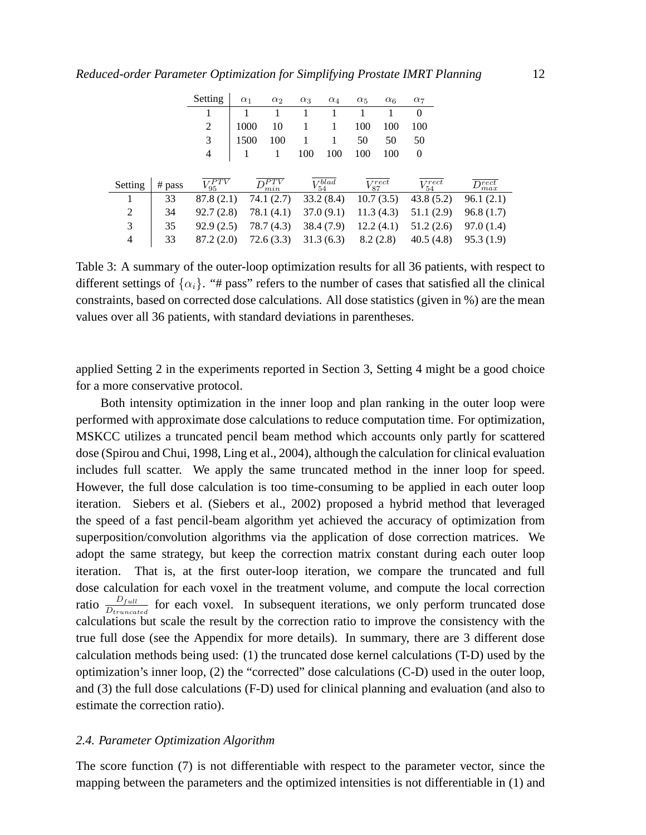|                |        | Setting        | $\alpha_1$ | $\alpha_2$   | $\alpha_3$ | $\alpha_4$                 | $\alpha_5$ | $\alpha_6$      | $\alpha_7$      |                             |
|----------------|--------|----------------|------------|--------------|------------|----------------------------|------------|-----------------|-----------------|-----------------------------|
|                |        |                |            |              |            |                            |            |                 | $\theta$        |                             |
|                |        | 2              | 1000       | 10           |            |                            | 100        | 100             | 100             |                             |
|                |        | 3              | 1500       | 100          |            | 1                          | 50         | 50              | 50              |                             |
|                |        | 4              |            |              | 100        | 100                        | 100        | 100             | $\overline{0}$  |                             |
|                |        |                |            |              |            |                            |            |                 |                 |                             |
| Setting        | # pass | $V_{95}^{PTV}$ |            | DPTV<br>min  |            | $\overline{V^{blad}_{54}}$ |            | $V_{87}^{rect}$ | $V_{54}^{rect}$ | $\overline{D^{rect}_{max}}$ |
|                | 33     | 87.8(2.1)      |            | 74.1 $(2.7)$ |            | 33.2(8.4)                  |            | 10.7(3.5)       | 43.8(5.2)       | 96.1(2.1)                   |
| $\overline{2}$ | 34     | 92.7(2.8)      |            | 78.1 (4.1)   |            | 37.0(9.1)                  |            | 11.3(4.3)       | 51.1(2.9)       | 96.8(1.7)                   |
| 3              | 35     | 92.9(2.5)      |            | 78.7(4.3)    |            | 38.4 (7.9)                 |            | 12.2(4.1)       | 51.2(2.6)       | 97.0(1.4)                   |
| 4              | 33     | 87.2 (2.0)     |            | 72.6(3.3)    |            | 31.3(6.3)                  |            | 8.2(2.8)        | 40.5(4.8)       | 95.3(1.9)                   |

Table 3: A summary of the outer-loop optimization results for all 36 patients, with respect to different settings of  $\{\alpha_i\}$ . "# pass" refers to the number of cases that satisfied all the clinical constraints, based on corrected dose calculations. All dose statistics (given in %) are the mean values over all 36 patients, with standard deviations in parentheses.

applied Setting 2 in the experiments reported in Section 3, Setting 4 might be a good choice for a more conservative protocol.

Both intensity optimization in the inner loop and plan ranking in the outer loop were performed with approximate dose calculations to reduce computation time. For optimization, MSKCC utilizes a truncated pencil beam method which accounts only partly for scattered dose (Spirou and Chui, 1998, Ling et al., 2004), although the calculation for clinical evaluation includes full scatter. We apply the same truncated method in the inner loop for speed. However, the full dose calculation is too time-consuming to be applied in each outer loop iteration. Siebers et al. (Siebers et al., 2002) proposed a hybrid method that leveraged the speed of a fast pencil-beam algorithm yet achieved the accuracy of optimization from superposition/convolution algorithms via the application of dose correction matrices. We adopt the same strategy, but keep the correction matrix constant during each outer loop iteration. That is, at the first outer-loop iteration, we compare the truncated and full dose calculation for each voxel in the treatment volume, and compute the local correction ratio  $\frac{D_{full}}{D_{truncated}}$  for each voxel. In subsequent iterations, we only perform truncated dose calculations but scale the result by the correction ratio to improve the consistency with the true full dose (see the Appendix for more details). In summary, there are 3 different dose calculation methods being used: (1) the truncated dose kernel calculations (T-D) used by the optimization's inner loop, (2) the "corrected" dose calculations (C-D) used in the outer loop, and (3) the full dose calculations (F-D) used for clinical planning and evaluation (and also to estimate the correction ratio).

#### *2.4. Parameter Optimization Algorithm*

The score function (7) is not differentiable with respect to the parameter vector, since the mapping between the parameters and the optimized intensities is not differentiable in (1) and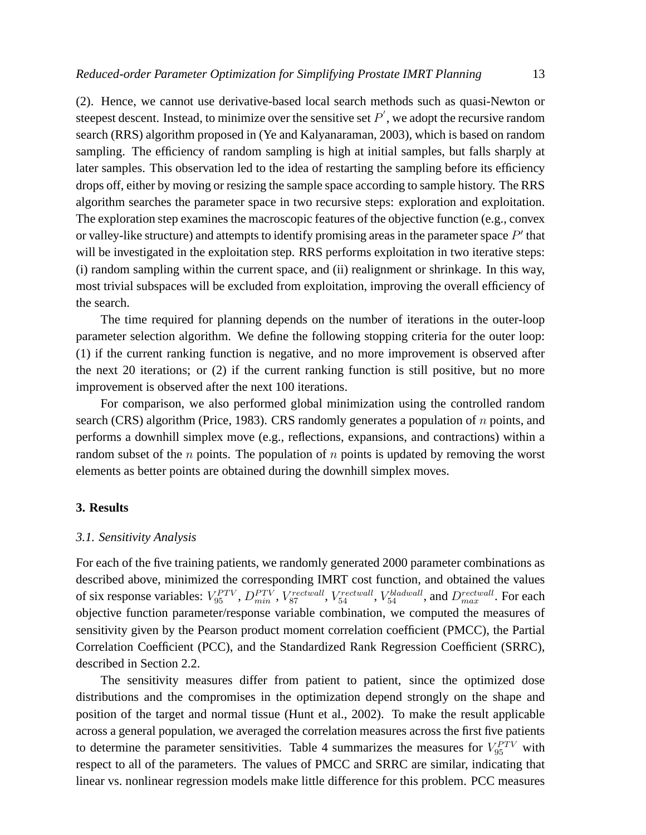(2). Hence, we cannot use derivative-based local search methods such as quasi-Newton or steepest descent. Instead, to minimize over the sensitive set  $P'$ , we adopt the recursive random search (RRS) algorithm proposed in (Ye and Kalyanaraman, 2003), which is based on random sampling. The efficiency of random sampling is high at initial samples, but falls sharply at later samples. This observation led to the idea of restarting the sampling before its efficiency drops off, either by moving or resizing the sample space according to sample history. The RRS algorithm searches the parameter space in two recursive steps: exploration and exploitation. The exploration step examines the macroscopic features of the objective function (e.g., convex or valley-like structure) and attempts to identify promising areas in the parameter space  $P'$  that will be investigated in the exploitation step. RRS performs exploitation in two iterative steps: (i) random sampling within the current space, and (ii) realignment or shrinkage. In this way, most trivial subspaces will be excluded from exploitation, improving the overall efficiency of the search.

The time required for planning depends on the number of iterations in the outer-loop parameter selection algorithm. We define the following stopping criteria for the outer loop: (1) if the current ranking function is negative, and no more improvement is observed after the next 20 iterations; or (2) if the current ranking function is still positive, but no more improvement is observed after the next 100 iterations.

For comparison, we also performed global minimization using the controlled random search (CRS) algorithm (Price, 1983). CRS randomly generates a population of n points, and performs a downhill simplex move (e.g., reflections, expansions, and contractions) within a random subset of the  $n$  points. The population of  $n$  points is updated by removing the worst elements as better points are obtained during the downhill simplex moves.

# **3. Results**

#### *3.1. Sensitivity Analysis*

For each of the five training patients, we randomly generated 2000 parameter combinations as described above, minimized the corresponding IMRT cost function, and obtained the values of six response variables:  $V_{95}^{PTV}$ ,  $D_{min}^{PTV}$ ,  $V_{87}^{rectwall}$ ,  $V_{54}^{rectwall}$ ,  $V_{54}^{bladwall}$ , and  $D_{max}^{rectwall}$ . For each objective function parameter/response variable combination, we computed the measures of sensitivity given by the Pearson product moment correlation coefficient (PMCC), the Partial Correlation Coefficient (PCC), and the Standardized Rank Regression Coefficient (SRRC), described in Section 2.2.

The sensitivity measures differ from patient to patient, since the optimized dose distributions and the compromises in the optimization depend strongly on the shape and position of the target and normal tissue (Hunt et al., 2002). To make the result applicable across a general population, we averaged the correlation measures across the first five patients to determine the parameter sensitivities. Table 4 summarizes the measures for  $V_{95}^{PTV}$  with respect to all of the parameters. The values of PMCC and SRRC are similar, indicating that linear vs. nonlinear regression models make little difference for this problem. PCC measures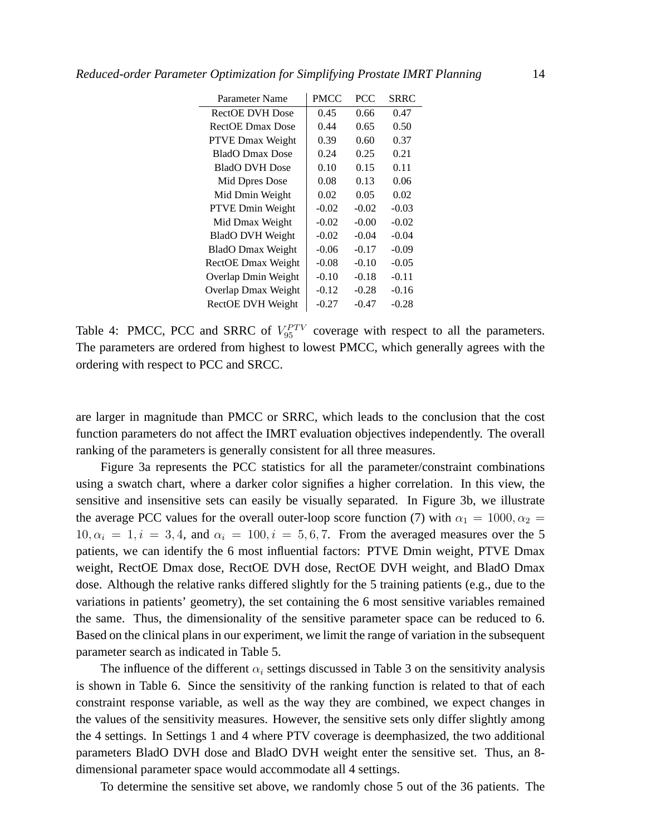| Parameter Name           | PMCC    | <b>PCC</b> | SRRC    |
|--------------------------|---------|------------|---------|
| <b>RectOE DVH Dose</b>   | 0.45    | 0.66       | 0.47    |
| <b>RectOE Dmax Dose</b>  | 0.44    | 0.65       | 0.50    |
| <b>PTVE Dmax Weight</b>  | 0.39    | 0.60       | 0.37    |
| <b>BladO</b> Dmax Dose   | 0.24    | 0.25       | 0.21    |
| <b>BladO DVH Dose</b>    | 0.10    | 0.15       | 0.11    |
| Mid Dpres Dose           | 0.08    | 0.13       | 0.06    |
| Mid Dmin Weight          | 0.02    | 0.05       | 0.02    |
| PTVE Dmin Weight         | $-0.02$ | $-0.02$    | $-0.03$ |
| Mid Dmax Weight          | $-0.02$ | $-0.00$    | $-0.02$ |
| <b>BladO DVH Weight</b>  | $-0.02$ | $-0.04$    | $-0.04$ |
| <b>BladO</b> Dmax Weight | $-0.06$ | $-0.17$    | $-0.09$ |
| RectOE Dmax Weight       | $-0.08$ | $-0.10$    | $-0.05$ |
| Overlap Dmin Weight      | $-0.10$ | $-0.18$    | $-0.11$ |
| Overlap Dmax Weight      | $-0.12$ | $-0.28$    | $-0.16$ |
| RectOE DVH Weight        | $-0.27$ | $-0.47$    | $-0.28$ |

Table 4: PMCC, PCC and SRRC of  $V_{95}^{PTV}$  coverage with respect to all the parameters. The parameters are ordered from highest to lowest PMCC, which generally agrees with the ordering with respect to PCC and SRCC.

are larger in magnitude than PMCC or SRRC, which leads to the conclusion that the cost function parameters do not affect the IMRT evaluation objectives independently. The overall ranking of the parameters is generally consistent for all three measures.

Figure 3a represents the PCC statistics for all the parameter/constraint combinations using a swatch chart, where a darker color signifies a higher correlation. In this view, the sensitive and insensitive sets can easily be visually separated. In Figure 3b, we illustrate the average PCC values for the overall outer-loop score function (7) with  $\alpha_1 = 1000, \alpha_2 =$  $10, \alpha_i = 1, i = 3, 4$ , and  $\alpha_i = 100, i = 5, 6, 7$ . From the averaged measures over the 5 patients, we can identify the 6 most influential factors: PTVE Dmin weight, PTVE Dmax weight, RectOE Dmax dose, RectOE DVH dose, RectOE DVH weight, and BladO Dmax dose. Although the relative ranks differed slightly for the 5 training patients (e.g., due to the variations in patients' geometry), the set containing the 6 most sensitive variables remained the same. Thus, the dimensionality of the sensitive parameter space can be reduced to 6. Based on the clinical plans in our experiment, we limit the range of variation in the subsequent parameter search as indicated in Table 5.

The influence of the different  $\alpha_i$  settings discussed in Table 3 on the sensitivity analysis is shown in Table 6. Since the sensitivity of the ranking function is related to that of each constraint response variable, as well as the way they are combined, we expect changes in the values of the sensitivity measures. However, the sensitive sets only differ slightly among the 4 settings. In Settings 1 and 4 where PTV coverage is deemphasized, the two additional parameters BladO DVH dose and BladO DVH weight enter the sensitive set. Thus, an 8 dimensional parameter space would accommodate all 4 settings.

To determine the sensitive set above, we randomly chose 5 out of the 36 patients. The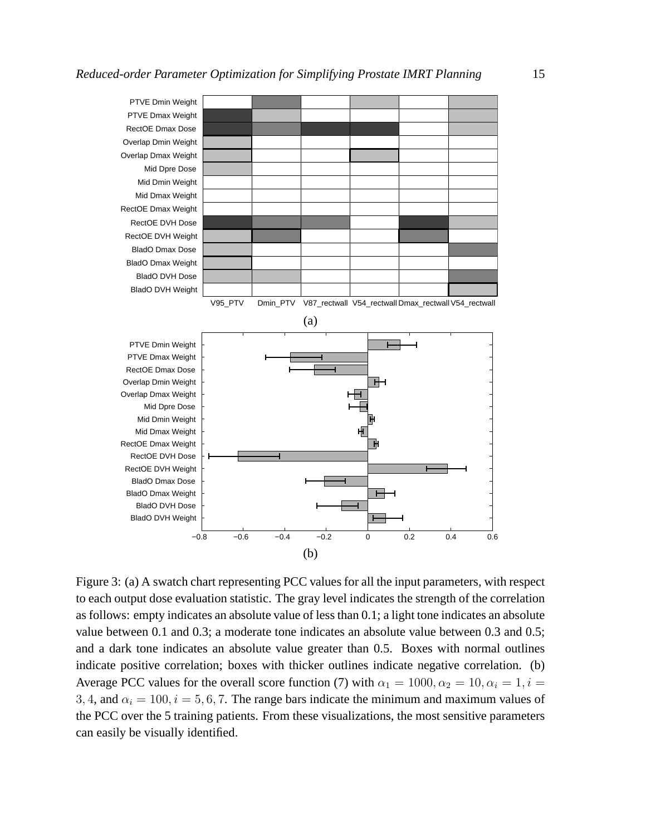

Figure 3: (a) A swatch chart representing PCC values for all the input parameters, with respect to each output dose evaluation statistic. The gray level indicates the strength of the correlation as follows: empty indicates an absolute value of less than 0.1; a light tone indicates an absolute value between 0.1 and 0.3; a moderate tone indicates an absolute value between 0.3 and 0.5; and a dark tone indicates an absolute value greater than 0.5. Boxes with normal outlines indicate positive correlation; boxes with thicker outlines indicate negative correlation. (b) Average PCC values for the overall score function (7) with  $\alpha_1 = 1000, \alpha_2 = 10, \alpha_i = 1, i =$ 3, 4, and  $\alpha_i = 100$ ,  $i = 5, 6, 7$ . The range bars indicate the minimum and maximum values of the PCC over the 5 training patients. From these visualizations, the most sensitive parameters can easily be visually identified.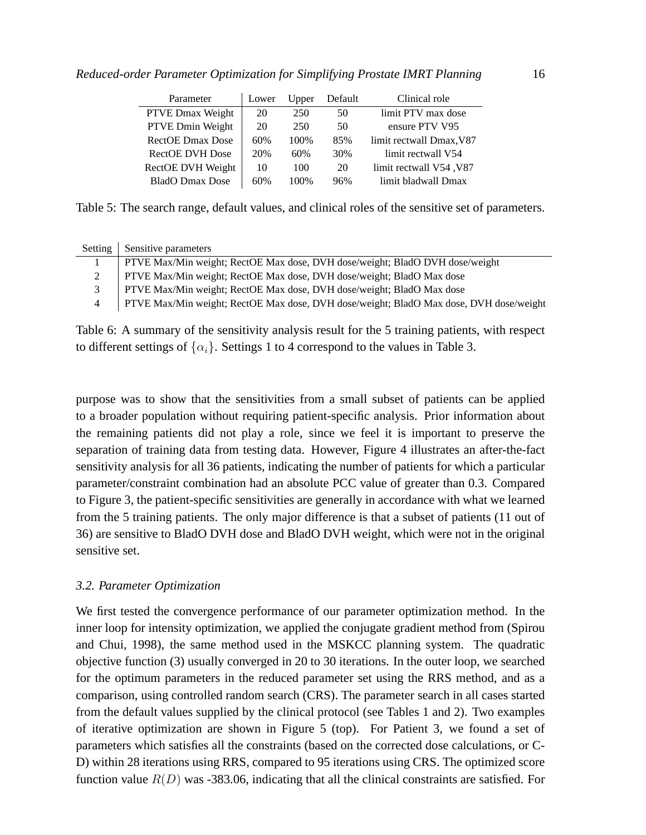| Parameter               | Lower | Upper | Default | Clinical role            |
|-------------------------|-------|-------|---------|--------------------------|
| PTVE Dmax Weight        | 20    | 250   | 50      | limit PTV max dose       |
| PTVE Dmin Weight        | 20    | 250   | 50      | ensure PTV V95           |
| <b>RectOE Dmax Dose</b> | 60%   | 100\% | 85%     | limit rectwall Dmax, V87 |
| <b>RectOE DVH Dose</b>  | 20%   | 60%   | 30%     | limit rectwall V54       |
| RectOE DVH Weight       | 10    | 100   | 20      | limit rectwall V54, V87  |
| <b>BladO</b> Dmax Dose  | 60%   | 100%  | 96%     | limit bladwall Dmax      |

Table 5: The search range, default values, and clinical roles of the sensitive set of parameters.

| Setting       | Sensitive parameters                                                                   |
|---------------|----------------------------------------------------------------------------------------|
|               | PTVE Max/Min weight; RectOE Max dose, DVH dose/weight; BladO DVH dose/weight           |
| $\mathcal{L}$ | PTVE Max/Min weight; RectOE Max dose, DVH dose/weight; BladO Max dose                  |
| 3             | PTVE Max/Min weight; RectOE Max dose, DVH dose/weight; BladO Max dose                  |
| 4             | PTVE Max/Min weight; RectOE Max dose, DVH dose/weight; BladO Max dose, DVH dose/weight |

Table 6: A summary of the sensitivity analysis result for the 5 training patients, with respect to different settings of  $\{\alpha_i\}$ . Settings 1 to 4 correspond to the values in Table 3.

purpose was to show that the sensitivities from a small subset of patients can be applied to a broader population without requiring patient-specific analysis. Prior information about the remaining patients did not play a role, since we feel it is important to preserve the separation of training data from testing data. However, Figure 4 illustrates an after-the-fact sensitivity analysis for all 36 patients, indicating the number of patients for which a particular parameter/constraint combination had an absolute PCC value of greater than 0.3. Compared to Figure 3, the patient-specific sensitivities are generally in accordance with what we learned from the 5 training patients. The only major difference is that a subset of patients (11 out of 36) are sensitive to BladO DVH dose and BladO DVH weight, which were not in the original sensitive set.

# *3.2. Parameter Optimization*

We first tested the convergence performance of our parameter optimization method. In the inner loop for intensity optimization, we applied the conjugate gradient method from (Spirou and Chui, 1998), the same method used in the MSKCC planning system. The quadratic objective function (3) usually converged in 20 to 30 iterations. In the outer loop, we searched for the optimum parameters in the reduced parameter set using the RRS method, and as a comparison, using controlled random search (CRS). The parameter search in all cases started from the default values supplied by the clinical protocol (see Tables 1 and 2). Two examples of iterative optimization are shown in Figure 5 (top). For Patient 3, we found a set of parameters which satisfies all the constraints (based on the corrected dose calculations, or C-D) within 28 iterations using RRS, compared to 95 iterations using CRS. The optimized score function value  $R(D)$  was -383.06, indicating that all the clinical constraints are satisfied. For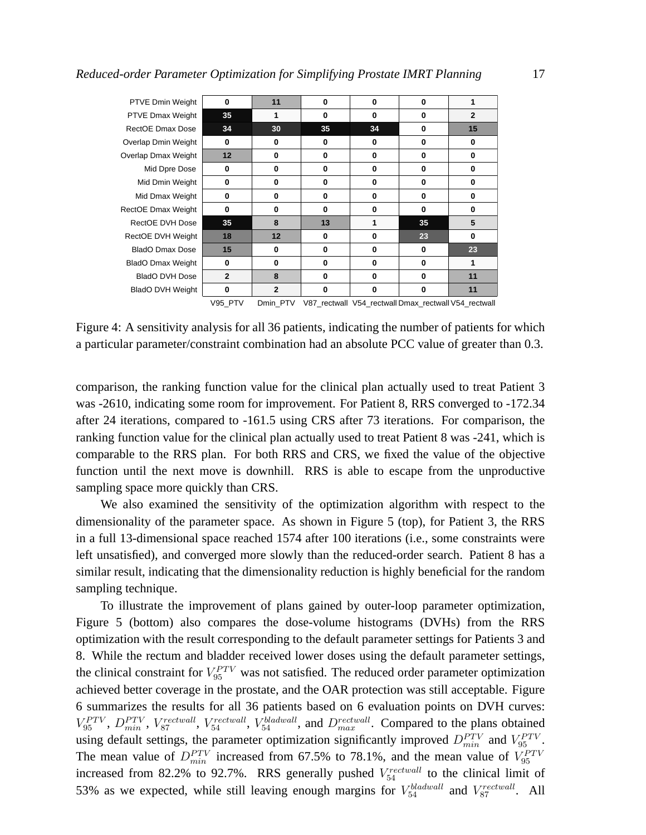| <b>PTVE Dmin Weight</b>  | 0              | 11             | 0        | $\bf{0}$                                             | 0        |                |
|--------------------------|----------------|----------------|----------|------------------------------------------------------|----------|----------------|
| PTVE Dmax Weight         | 35             |                | 0        | $\Omega$                                             | 0        | $\overline{2}$ |
| RectOE Dmax Dose         | 34             | 30             | 35       | 34                                                   | 0        | 15             |
| Overlap Dmin Weight      | 0              | $\Omega$       | 0        | $\mathbf{0}$                                         | 0        | 0              |
| Overlap Dmax Weight      | 12             | $\bf{0}$       | 0        | $\bf{0}$                                             | 0        | 0              |
| Mid Dpre Dose            | 0              | $\bf{0}$       | 0        | $\bf{0}$                                             | 0        | $\bf{0}$       |
| Mid Dmin Weight          | 0              | $\Omega$       | $\bf{0}$ | $\bf{0}$                                             | 0        | $\bf{0}$       |
| Mid Dmax Weight          | 0              | $\bf{0}$       | 0        | $\bf{0}$                                             | 0        | $\bf{0}$       |
| RectOE Dmax Weight       | 0              | $\bf{0}$       | 0        | $\bf{0}$                                             | $\bf{0}$ | $\bf{0}$       |
| RectOE DVH Dose          | 35             | 8              | 13       | 1                                                    | 35       | 5              |
| RectOE DVH Weight        | 18             | 12             | $\Omega$ | $\mathbf{0}$                                         | 23       | $\Omega$       |
| BladO Dmax Dose          | 15             | $\bf{0}$       | 0        | $\bf{0}$                                             | 0        | 23             |
| <b>BladO Dmax Weight</b> | 0              | $\bf{0}$       | 0        | $\bf{0}$                                             | 0        | 1              |
| <b>BladO DVH Dose</b>    | $\overline{2}$ | 8              | 0        | $\bf{0}$                                             | 0        | 11             |
| <b>BladO DVH Weight</b>  | $\bf{0}$       | $\overline{2}$ | $\Omega$ | $\Omega$                                             | 0        | 11             |
|                          | V95 PTV        | Dmin PTV       |          | V87 rectwall V54_rectwall Dmax_rectwall V54_rectwall |          |                |

Figure 4: A sensitivity analysis for all 36 patients, indicating the number of patients for which a particular parameter/constraint combination had an absolute PCC value of greater than 0.3.

comparison, the ranking function value for the clinical plan actually used to treat Patient 3 was -2610, indicating some room for improvement. For Patient 8, RRS converged to -172.34 after 24 iterations, compared to -161.5 using CRS after 73 iterations. For comparison, the ranking function value for the clinical plan actually used to treat Patient 8 was -241, which is comparable to the RRS plan. For both RRS and CRS, we fixed the value of the objective function until the next move is downhill. RRS is able to escape from the unproductive sampling space more quickly than CRS.

We also examined the sensitivity of the optimization algorithm with respect to the dimensionality of the parameter space. As shown in Figure 5 (top), for Patient 3, the RRS in a full 13-dimensional space reached 1574 after 100 iterations (i.e., some constraints were left unsatisfied), and converged more slowly than the reduced-order search. Patient 8 has a similar result, indicating that the dimensionality reduction is highly beneficial for the random sampling technique.

To illustrate the improvement of plans gained by outer-loop parameter optimization, Figure 5 (bottom) also compares the dose-volume histograms (DVHs) from the RRS optimization with the result corresponding to the default parameter settings for Patients 3 and 8. While the rectum and bladder received lower doses using the default parameter settings, the clinical constraint for  $V_{95}^{PTV}$  was not satisfied. The reduced order parameter optimization achieved better coverage in the prostate, and the OAR protection was still acceptable. Figure 6 summarizes the results for all 36 patients based on 6 evaluation points on DVH curves:  $V_{95}^{PTV}$ ,  $D_{min}^{PTV}$ ,  $V_{87}^{rectwall}$ ,  $V_{54}^{rectwall}$ ,  $V_{54}^{bladwall}$ , and  $D_{max}^{rectwall}$ . Compared to the plans obtained using default settings, the parameter optimization significantly improved  $D_{min}^{PTV}$  and  $V_{95}^{PTV}$ . The mean value of  $D_{min}^{PTV}$  increased from 67.5% to 78.1%, and the mean value of  $V_{95}^{PTV}$ increased from 82.2% to 92.7%. RRS generally pushed  $V_{54}^{rectwall}$  to the clinical limit of 53% as we expected, while still leaving enough margins for  $V_{54}^{bladwall}$  and  $V_{87}^{rectwall}$ . All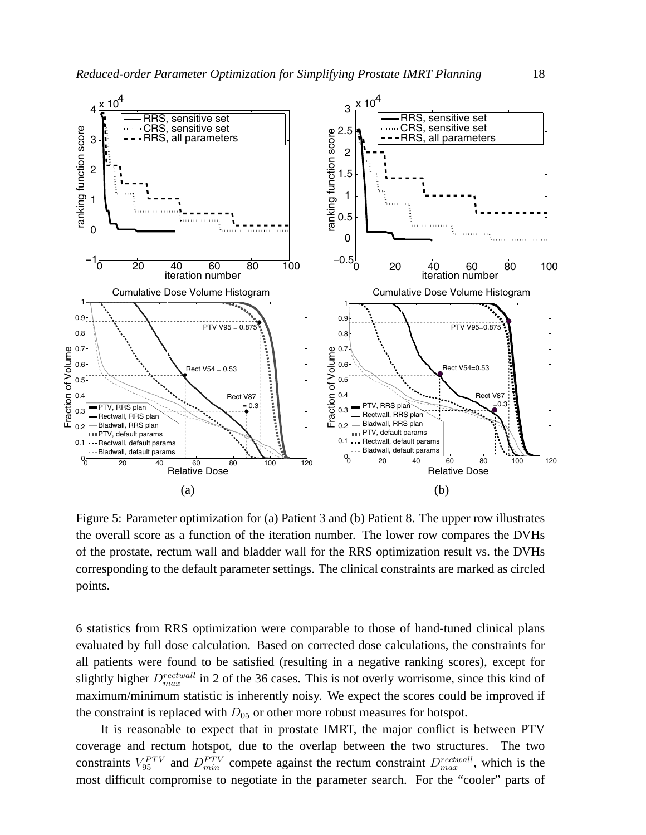

Figure 5: Parameter optimization for (a) Patient 3 and (b) Patient 8. The upper row illustrates the overall score as a function of the iteration number. The lower row compares the DVHs of the prostate, rectum wall and bladder wall for the RRS optimization result vs. the DVHs corresponding to the default parameter settings. The clinical constraints are marked as circled points.

6 statistics from RRS optimization were comparable to those of hand-tuned clinical plans evaluated by full dose calculation. Based on corrected dose calculations, the constraints for all patients were found to be satisfied (resulting in a negative ranking scores), except for slightly higher  $D_{max}^{rectwall}$  in 2 of the 36 cases. This is not overly worrisome, since this kind of maximum/minimum statistic is inherently noisy. We expect the scores could be improved if the constraint is replaced with  $D_{05}$  or other more robust measures for hotspot.

It is reasonable to expect that in prostate IMRT, the major conflict is between PTV coverage and rectum hotspot, due to the overlap between the two structures. The two constraints  $V_{95}^{PTV}$  and  $D_{min}^{PTV}$  compete against the rectum constraint  $D_{max}^{rectwall}$ , which is the most difficult compromise to negotiate in the parameter search. For the "cooler" parts of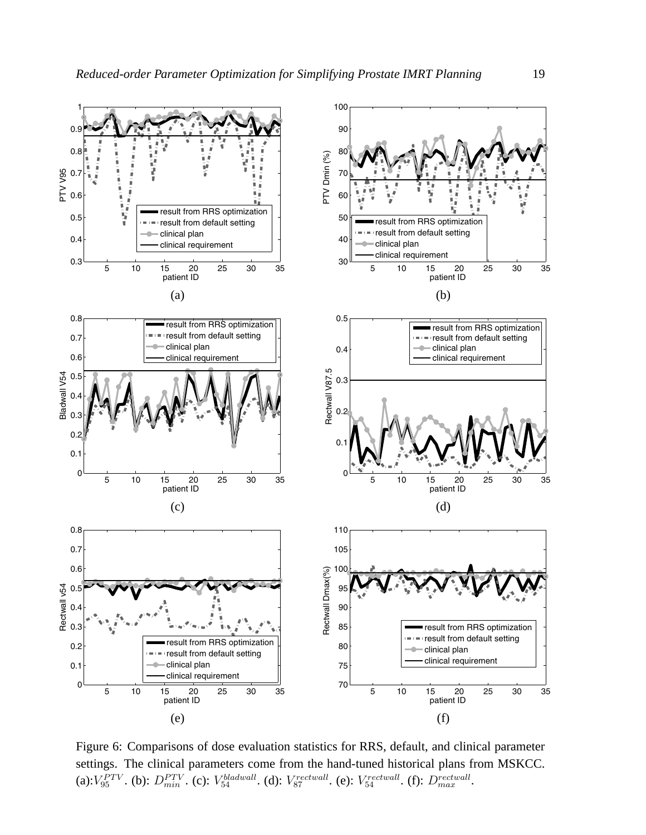

Figure 6: Comparisons of dose evaluation statistics for RRS, default, and clinical parameter settings. The clinical parameters come from the hand-tuned historical plans from MSKCC. (a):  $V_{95}^{PTV}$ . (b):  $D_{min}^{PTV}$ . (c):  $V_{54}^{bladwall}$ . (d):  $V_{87}^{rectwall}$ . (e):  $V_{54}^{rectwall}$ . (f):  $D_{max}^{rectwall}$ .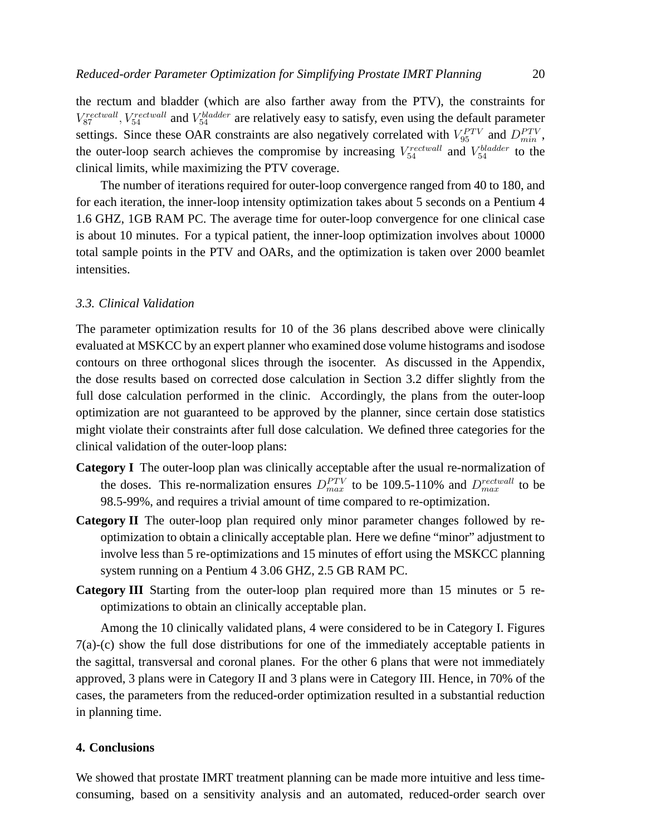the rectum and bladder (which are also farther away from the PTV), the constraints for  $V_{87}^{rectwall}$ ,  $V_{54}^{rectwall}$  and  $V_{54}^{bladder}$  are relatively easy to satisfy, even using the default parameter settings. Since these OAR constraints are also negatively correlated with  $V_{95}^{PTV}$  and  $D_{min}^{PTV}$ , the outer-loop search achieves the compromise by increasing  $V_{54}^{rectwall}$  and  $V_{54}^{bladder}$  to the clinical limits, while maximizing the PTV coverage.

The number of iterations required for outer-loop convergence ranged from 40 to 180, and for each iteration, the inner-loop intensity optimization takes about 5 seconds on a Pentium 4 1.6 GHZ, 1GB RAM PC. The average time for outer-loop convergence for one clinical case is about 10 minutes. For a typical patient, the inner-loop optimization involves about 10000 total sample points in the PTV and OARs, and the optimization is taken over 2000 beamlet intensities.

#### *3.3. Clinical Validation*

The parameter optimization results for 10 of the 36 plans described above were clinically evaluated at MSKCC by an expert planner who examined dose volume histograms and isodose contours on three orthogonal slices through the isocenter. As discussed in the Appendix, the dose results based on corrected dose calculation in Section 3.2 differ slightly from the full dose calculation performed in the clinic. Accordingly, the plans from the outer-loop optimization are not guaranteed to be approved by the planner, since certain dose statistics might violate their constraints after full dose calculation. We defined three categories for the clinical validation of the outer-loop plans:

- **Category I** The outer-loop plan was clinically acceptable after the usual re-normalization of the doses. This re-normalization ensures  $D_{max}^{PTV}$  to be 109.5-110% and  $D_{max}^{rectwall}$  to be 98.5-99%, and requires a trivial amount of time compared to re-optimization.
- **Category II** The outer-loop plan required only minor parameter changes followed by reoptimization to obtain a clinically acceptable plan. Here we define "minor" adjustment to involve less than 5 re-optimizations and 15 minutes of effort using the MSKCC planning system running on a Pentium 4 3.06 GHZ, 2.5 GB RAM PC.
- **Category III** Starting from the outer-loop plan required more than 15 minutes or 5 reoptimizations to obtain an clinically acceptable plan.

Among the 10 clinically validated plans, 4 were considered to be in Category I. Figures 7(a)-(c) show the full dose distributions for one of the immediately acceptable patients in the sagittal, transversal and coronal planes. For the other 6 plans that were not immediately approved, 3 plans were in Category II and 3 plans were in Category III. Hence, in 70% of the cases, the parameters from the reduced-order optimization resulted in a substantial reduction in planning time.

# **4. Conclusions**

We showed that prostate IMRT treatment planning can be made more intuitive and less timeconsuming, based on a sensitivity analysis and an automated, reduced-order search over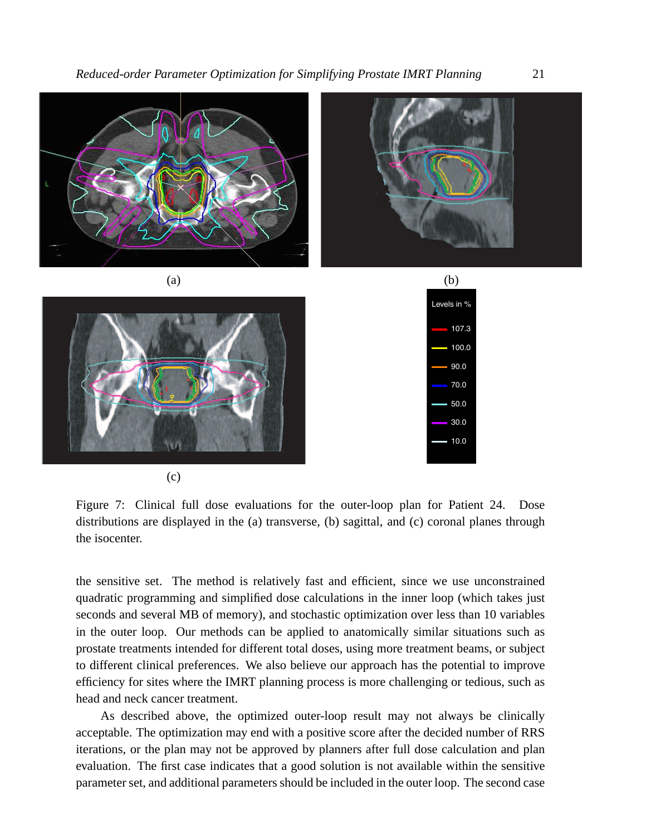

(c)

Figure 7: Clinical full dose evaluations for the outer-loop plan for Patient 24. Dose distributions are displayed in the (a) transverse, (b) sagittal, and (c) coronal planes through the isocenter.

the sensitive set. The method is relatively fast and efficient, since we use unconstrained quadratic programming and simplified dose calculations in the inner loop (which takes just seconds and several MB of memory), and stochastic optimization over less than 10 variables in the outer loop. Our methods can be applied to anatomically similar situations such as prostate treatments intended for different total doses, using more treatment beams, or subject to different clinical preferences. We also believe our approach has the potential to improve efficiency for sites where the IMRT planning process is more challenging or tedious, such as head and neck cancer treatment.

As described above, the optimized outer-loop result may not always be clinically acceptable. The optimization may end with a positive score after the decided number of RRS iterations, or the plan may not be approved by planners after full dose calculation and plan evaluation. The first case indicates that a good solution is not available within the sensitive parameter set, and additional parameters should be included in the outer loop. The second case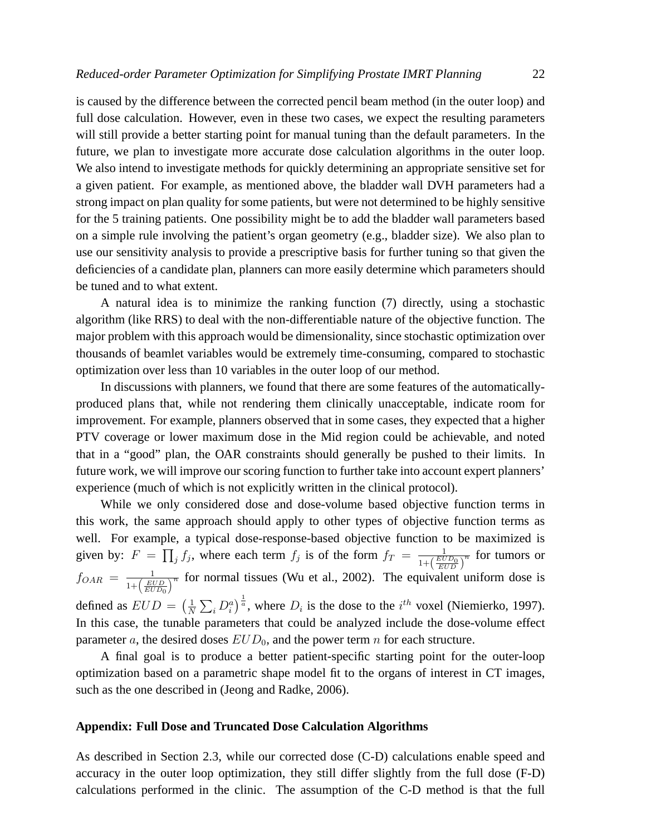is caused by the difference between the corrected pencil beam method (in the outer loop) and full dose calculation. However, even in these two cases, we expect the resulting parameters will still provide a better starting point for manual tuning than the default parameters. In the future, we plan to investigate more accurate dose calculation algorithms in the outer loop. We also intend to investigate methods for quickly determining an appropriate sensitive set for a given patient. For example, as mentioned above, the bladder wall DVH parameters had a strong impact on plan quality for some patients, but were not determined to be highly sensitive for the 5 training patients. One possibility might be to add the bladder wall parameters based on a simple rule involving the patient's organ geometry (e.g., bladder size). We also plan to use our sensitivity analysis to provide a prescriptive basis for further tuning so that given the deficiencies of a candidate plan, planners can more easily determine which parameters should be tuned and to what extent.

A natural idea is to minimize the ranking function (7) directly, using a stochastic algorithm (like RRS) to deal with the non-differentiable nature of the objective function. The major problem with this approach would be dimensionality, since stochastic optimization over thousands of beamlet variables would be extremely time-consuming, compared to stochastic optimization over less than 10 variables in the outer loop of our method.

In discussions with planners, we found that there are some features of the automaticallyproduced plans that, while not rendering them clinically unacceptable, indicate room for improvement. For example, planners observed that in some cases, they expected that a higher PTV coverage or lower maximum dose in the Mid region could be achievable, and noted that in a "good" plan, the OAR constraints should generally be pushed to their limits. In future work, we will improve our scoring function to further take into account expert planners' experience (much of which is not explicitly written in the clinical protocol).

While we only considered dose and dose-volume based objective function terms in this work, the same approach should apply to other types of objective function terms as well. For example, a typical dose-response-based objective function to be maximized is given by:  $F =$ pir<br>T  $j f_j$ , where each term  $f_j$  is of the form  $f_T = \frac{1}{1 + \left(\frac{ED}{E}\right)^2}$  $\frac{1}{1+\left(\frac{EUD_0}{EUD}\right)^n}$  for tumors or  $f_{OAR} = \frac{1}{1 + \left(\frac{EUD}{EUD_0}\right)}$  $\overline{a}$  for normal tissues (Wu et al., 2002). The equivalent uniform dose is defined as  $EUD =$  $(1)$ N  $\sum_i D_i^a$  $\int_{a}^{\frac{1}{a}}$ , where  $D_i$  is the dose to the  $i^{th}$  voxel (Niemierko, 1997). In this case, the tunable parameters that could be analyzed include the dose-volume effect parameter a, the desired doses  $EUD_0$ , and the power term n for each structure.

A final goal is to produce a better patient-specific starting point for the outer-loop optimization based on a parametric shape model fit to the organs of interest in CT images, such as the one described in (Jeong and Radke, 2006).

# **Appendix: Full Dose and Truncated Dose Calculation Algorithms**

As described in Section 2.3, while our corrected dose (C-D) calculations enable speed and accuracy in the outer loop optimization, they still differ slightly from the full dose (F-D) calculations performed in the clinic. The assumption of the C-D method is that the full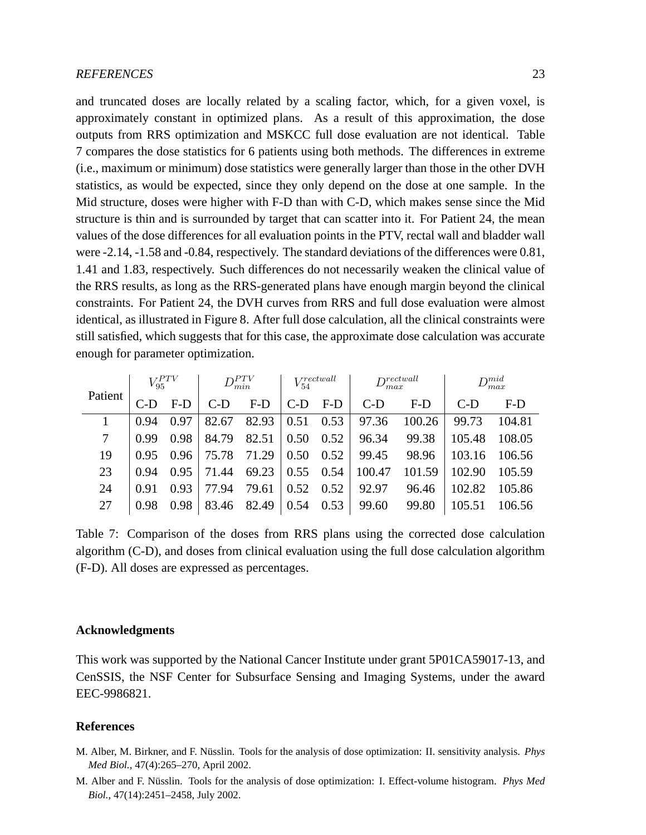and truncated doses are locally related by a scaling factor, which, for a given voxel, is approximately constant in optimized plans. As a result of this approximation, the dose outputs from RRS optimization and MSKCC full dose evaluation are not identical. Table 7 compares the dose statistics for 6 patients using both methods. The differences in extreme (i.e., maximum or minimum) dose statistics were generally larger than those in the other DVH statistics, as would be expected, since they only depend on the dose at one sample. In the Mid structure, doses were higher with F-D than with C-D, which makes sense since the Mid structure is thin and is surrounded by target that can scatter into it. For Patient 24, the mean values of the dose differences for all evaluation points in the PTV, rectal wall and bladder wall were -2.14, -1.58 and -0.84, respectively. The standard deviations of the differences were 0.81, 1.41 and 1.83, respectively. Such differences do not necessarily weaken the clinical value of the RRS results, as long as the RRS-generated plans have enough margin beyond the clinical constraints. For Patient 24, the DVH curves from RRS and full dose evaluation were almost identical, as illustrated in Figure 8. After full dose calculation, all the clinical constraints were still satisfied, which suggests that for this case, the approximate dose calculation was accurate enough for parameter optimization.

| Patient | $V_{95}^{PTV}$ |       | $D^{PTV}_{min}$ |       | $V_{54}^{rectwall}$ |       | $D_{max}^{rectwall}$ |        | $D_{max}^{mid}$ |        |
|---------|----------------|-------|-----------------|-------|---------------------|-------|----------------------|--------|-----------------|--------|
|         |                | $F-D$ | $C-D$           | $F-D$ | $C-D$               | $F-D$ | $C-D$                | $F-D$  | $C-D$           | $F-D$  |
|         | 0.94           | 0.97  | 82.67           | 82.93 | $0.51$ 0.53         |       | 97.36                | 100.26 | 99.73           | 104.81 |
| 7       | 0.99           | 0.98  | 84.79           | 82.51 | $0.50 \quad 0.52$   |       | 96.34                | 99.38  | 105.48          | 108.05 |
| 19      | 0.95           | 0.96  | 75.78           | 71.29 | $0.50 \quad 0.52$   |       | 99.45                | 98.96  | 103.16          | 106.56 |
| 23      | 0.94           | 0.95  | 71.44           | 69.23 | $0.55$ 0.54         |       | 100.47               | 101.59 | 102.90          | 105.59 |
| 24      | 0.91           | 0.93  | 77.94           | 79.61 | $0.52 \quad 0.52$   |       | 92.97                | 96.46  | 102.82          | 105.86 |
| 27      | 0.98           | 0.98  | 83.46           | 82.49 | 0.54                | 0.53  | 99.60                | 99.80  | 105.51          | 106.56 |

Table 7: Comparison of the doses from RRS plans using the corrected dose calculation algorithm (C-D), and doses from clinical evaluation using the full dose calculation algorithm (F-D). All doses are expressed as percentages.

# **Acknowledgments**

This work was supported by the National Cancer Institute under grant 5P01CA59017-13, and CenSSIS, the NSF Center for Subsurface Sensing and Imaging Systems, under the award EEC-9986821.

#### **References**

- M. Alber, M. Birkner, and F. Nüsslin. Tools for the analysis of dose optimization: II. sensitivity analysis. *Phys Med Biol.*, 47(4):265–270, April 2002.
- M. Alber and F. Nüsslin. Tools for the analysis of dose optimization: I. Effect-volume histogram. *Phys Med Biol.*, 47(14):2451–2458, July 2002.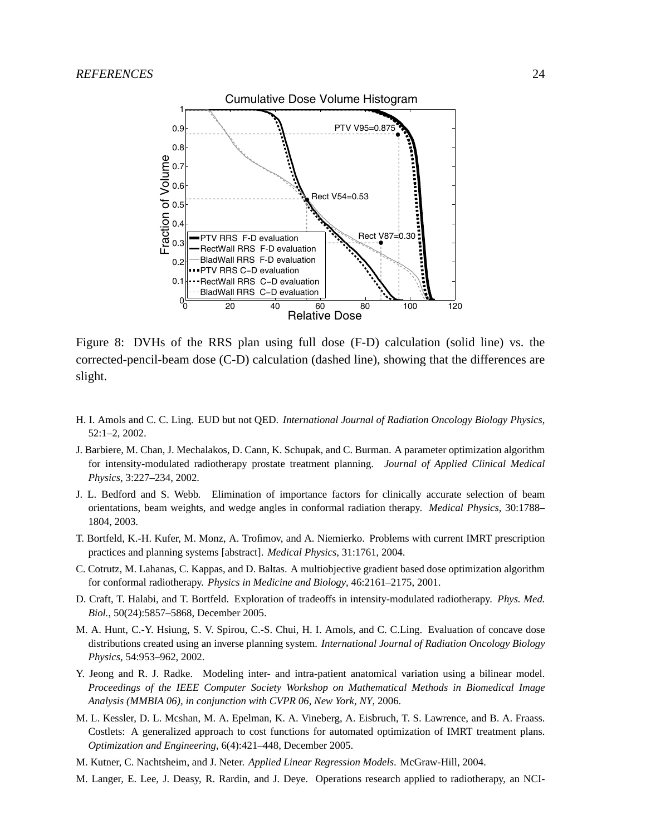

Figure 8: DVHs of the RRS plan using full dose (F-D) calculation (solid line) vs. the corrected-pencil-beam dose (C-D) calculation (dashed line), showing that the differences are slight.

- H. I. Amols and C. C. Ling. EUD but not QED. *International Journal of Radiation Oncology Biology Physics*, 52:1–2, 2002.
- J. Barbiere, M. Chan, J. Mechalakos, D. Cann, K. Schupak, and C. Burman. A parameter optimization algorithm for intensity-modulated radiotherapy prostate treatment planning. *Journal of Applied Clinical Medical Physics*, 3:227–234, 2002.
- J. L. Bedford and S. Webb. Elimination of importance factors for clinically accurate selection of beam orientations, beam weights, and wedge angles in conformal radiation therapy. *Medical Physics*, 30:1788– 1804, 2003.
- T. Bortfeld, K.-H. Kufer, M. Monz, A. Trofimov, and A. Niemierko. Problems with current IMRT prescription practices and planning systems [abstract]. *Medical Physics*, 31:1761, 2004.
- C. Cotrutz, M. Lahanas, C. Kappas, and D. Baltas. A multiobjective gradient based dose optimization algorithm for conformal radiotherapy. *Physics in Medicine and Biology*, 46:2161–2175, 2001.
- D. Craft, T. Halabi, and T. Bortfeld. Exploration of tradeoffs in intensity-modulated radiotherapy. *Phys. Med. Biol.*, 50(24):5857–5868, December 2005.
- M. A. Hunt, C.-Y. Hsiung, S. V. Spirou, C.-S. Chui, H. I. Amols, and C. C.Ling. Evaluation of concave dose distributions created using an inverse planning system. *International Journal of Radiation Oncology Biology Physics*, 54:953–962, 2002.
- Y. Jeong and R. J. Radke. Modeling inter- and intra-patient anatomical variation using a bilinear model. *Proceedings of the IEEE Computer Society Workshop on Mathematical Methods in Biomedical Image Analysis (MMBIA 06), in conjunction with CVPR 06, New York, NY*, 2006.
- M. L. Kessler, D. L. Mcshan, M. A. Epelman, K. A. Vineberg, A. Eisbruch, T. S. Lawrence, and B. A. Fraass. Costlets: A generalized approach to cost functions for automated optimization of IMRT treatment plans. *Optimization and Engineering*, 6(4):421–448, December 2005.
- M. Kutner, C. Nachtsheim, and J. Neter. *Applied Linear Regression Models*. McGraw-Hill, 2004.
- M. Langer, E. Lee, J. Deasy, R. Rardin, and J. Deye. Operations research applied to radiotherapy, an NCI-